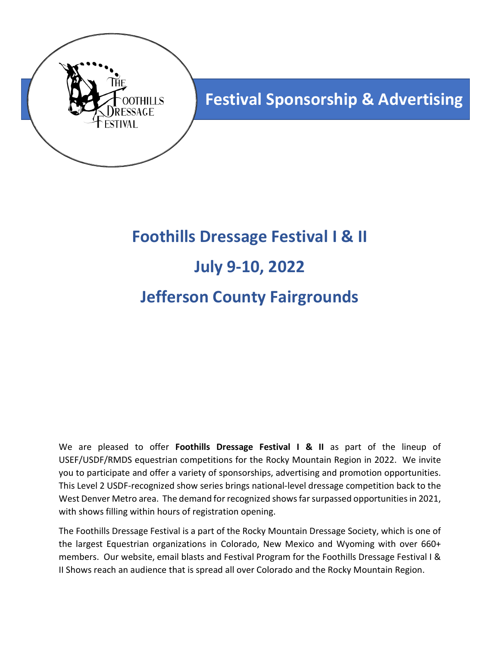

# **Foothills Dressage Festival I & II July 9-10, 2022 Jefferson County Fairgrounds**

We are pleased to offer **Foothills Dressage Festival I & II** as part of the lineup of USEF/USDF/RMDS equestrian competitions for the Rocky Mountain Region in 2022. We invite you to participate and offer a variety of sponsorships, advertising and promotion opportunities. This Level 2 USDF-recognized show series brings national-level dressage competition back to the West Denver Metro area. The demand for recognized shows far surpassed opportunities in 2021, with shows filling within hours of registration opening.

The Foothills Dressage Festival is a part of the Rocky Mountain Dressage Society, which is one of the largest Equestrian organizations in Colorado, New Mexico and Wyoming with over 660+ members. Our website, email blasts and Festival Program for the Foothills Dressage Festival I & II Shows reach an audience that is spread all over Colorado and the Rocky Mountain Region.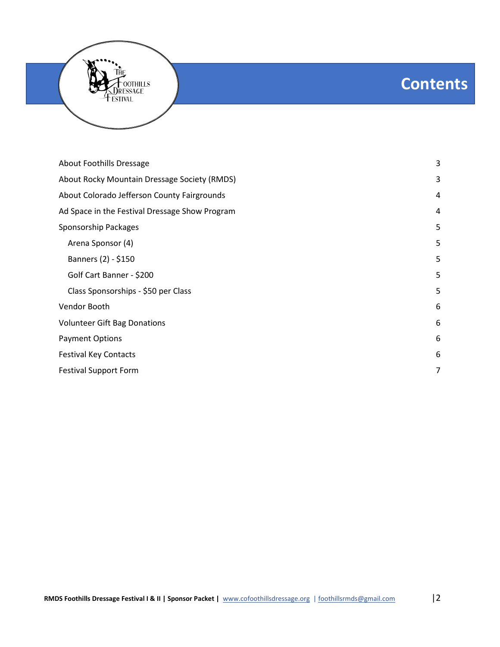## **Contents**

| <b>About Foothills Dressage</b>                | 3 |
|------------------------------------------------|---|
| About Rocky Mountain Dressage Society (RMDS)   | 3 |
| About Colorado Jefferson County Fairgrounds    | 4 |
| Ad Space in the Festival Dressage Show Program | 4 |
| Sponsorship Packages                           | 5 |
| Arena Sponsor (4)                              | 5 |
| Banners (2) - \$150                            | 5 |
| Golf Cart Banner - \$200                       | 5 |
| Class Sponsorships - \$50 per Class            | 5 |
| Vendor Booth                                   | 6 |
| <b>Volunteer Gift Bag Donations</b>            | 6 |
| <b>Payment Options</b>                         | 6 |
| <b>Festival Key Contacts</b>                   | 6 |
| <b>Festival Support Form</b>                   | 7 |

Foothills<br>ressage

ESTIVAL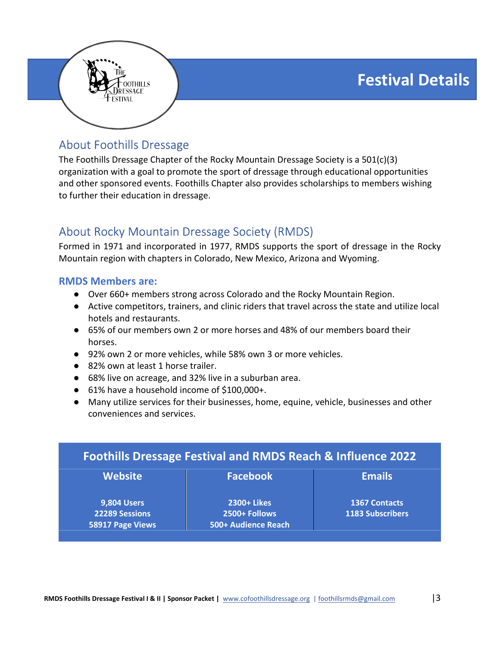**Festival Details**



## About Foothills Dressage

The Foothills Dressage Chapter of the Rocky Mountain Dressage Society is a 501(c)(3) organization with a goal to promote the sport of dressage through educational opportunities and other sponsored events. Foothills Chapter also provides scholarships to members wishing to further their education in dressage.

## About Rocky Mountain Dressage Society (RMDS)

Formed in 1971 and incorporated in 1977, RMDS supports the sport of dressage in the Rocky Mountain region with chapters in Colorado, New Mexico, Arizona and Wyoming.

#### **RMDS Members are:**

- Over 660+ members strong across Colorado and the Rocky Mountain Region.
- Active competitors, trainers, and clinic riders that travel across the state and utilize local hotels and restaurants.
- 65% of our members own 2 or more horses and 48% of our members board their horses.
- 92% own 2 or more vehicles, while 58% own 3 or more vehicles.
- 82% own at least 1 horse trailer.
- 68% live on acreage, and 32% live in a suburban area.
- 61% have a household income of \$100,000+.
- Many utilize services for their businesses, home, equine, vehicle, businesses and other conveniences and services.

| <b>Foothills Dressage Festival and RMDS Reach &amp; Influence 2022</b> |                                      |                      |  |  |
|------------------------------------------------------------------------|--------------------------------------|----------------------|--|--|
| <b>Website</b>                                                         | <b>Facebook</b>                      | <b>Emails</b>        |  |  |
| <b>9,804 Users</b>                                                     | 2300+ Likes                          | <b>1367 Contacts</b> |  |  |
| 22289 Sessions<br>58917 Page Views                                     | 2500+ Follows<br>500+ Audience Reach | 1183 Subscribers     |  |  |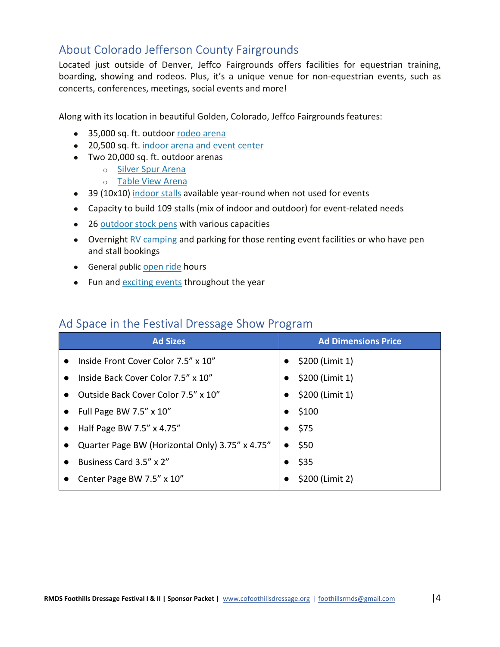## About Colorado Jefferson County Fairgrounds

Located just outside of Denver, Jeffco Fairgrounds offers facilities for equestrian training, boarding, showing and rodeos. Plus, it's a unique venue for non-equestrian events, such as concerts, conferences, meetings, social events and more!

Along with its location in beautiful Golden, Colorado, Jeffco Fairgrounds features:

- 35,000 sq. ft. outdoor rodeo arena
- 20,500 sq. ft. indoor arena and event center
- Two 20,000 sq. ft. outdoor arenas
	- o Silver Spur Arena
	- o Table View Arena
- 39 (10x10) indoor stalls available year-round when not used for events
- Capacity to build 109 stalls (mix of indoor and outdoor) for event-related needs
- 26 outdoor stock pens with various capacities
- Overnight RV camping and parking for those renting event facilities or who have pen and stall bookings
- General public open ride hours
- Fun and exciting events throughout the year

### Ad Space in the Festival Dressage Show Program

| <b>Ad Sizes</b>                                  | <b>Ad Dimensions Price</b>   |
|--------------------------------------------------|------------------------------|
| Inside Front Cover Color 7.5" x 10"<br>$\bullet$ | \$200 (Limit 1)<br>$\bullet$ |
| Inside Back Cover Color 7.5" x 10"<br>$\bullet$  | \$200 (Limit 1)<br>$\bullet$ |
| Outside Back Cover Color 7.5" x 10"<br>$\bullet$ | \$200 (Limit 1)              |
| Full Page BW 7.5" $\times$ 10"                   | $\bullet$ \$100              |
| Half Page BW 7.5" x 4.75"                        | $\bullet$ \$75               |
| Quarter Page BW (Horizontal Only) 3.75" x 4.75"  | \$50<br>$\bullet$            |
| Business Card 3.5" x 2"                          | $\bullet$ \$35               |
| Center Page BW 7.5" x 10"                        | \$200 (Limit 2)              |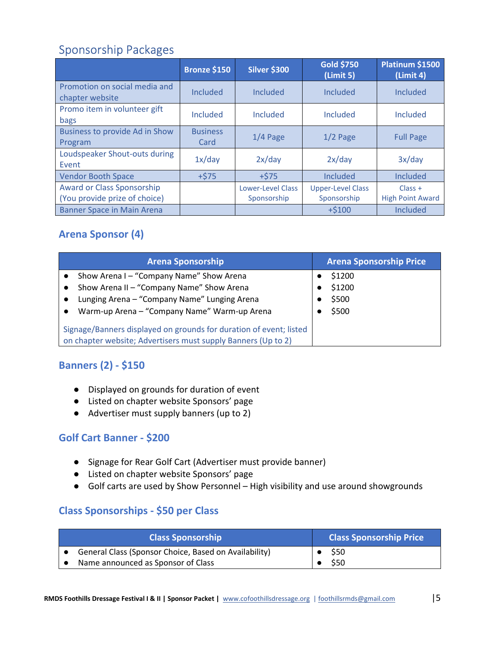## Sponsorship Packages

|                                                                    | <b>Bronze \$150</b>     | <b>Silver \$300</b>                     | <b>Gold \$750</b><br>(Limit 5)          | Platinum \$1500<br>(Limit 4)         |
|--------------------------------------------------------------------|-------------------------|-----------------------------------------|-----------------------------------------|--------------------------------------|
| Promotion on social media and<br>chapter website                   | <b>Included</b>         | Included                                | Included                                | <b>Included</b>                      |
| Promo item in volunteer gift<br>bags                               | <b>Included</b>         | <b>Included</b>                         | <b>Included</b>                         | Included                             |
| <b>Business to provide Ad in Show</b><br>Program                   | <b>Business</b><br>Card | $1/4$ Page                              | $1/2$ Page                              | <b>Full Page</b>                     |
| Loudspeaker Shout-outs during<br>Event                             | 1x/day                  | 2x/day                                  | 2x/day                                  | 3x/day                               |
| <b>Vendor Booth Space</b>                                          | $+575$                  | $+575$                                  | <b>Included</b>                         | Included                             |
| <b>Award or Class Sponsorship</b><br>(You provide prize of choice) |                         | <b>Lower-Level Class</b><br>Sponsorship | <b>Upper-Level Class</b><br>Sponsorship | $Class +$<br><b>High Point Award</b> |
| <b>Banner Space in Main Arena</b>                                  |                         |                                         | $+ $100$                                | <b>Included</b>                      |

## **Arena Sponsor (4)**

| <b>Arena Sponsorship</b>                                                                                                                                                                                                                                                 | <b>Arena Sponsorship Price</b>     |
|--------------------------------------------------------------------------------------------------------------------------------------------------------------------------------------------------------------------------------------------------------------------------|------------------------------------|
| Show Arena I – "Company Name" Show Arena<br>Show Arena II - "Company Name" Show Arena<br>Lunging Arena - "Company Name" Lunging Arena<br>$\bullet$<br>Warm-up Arena - "Company Name" Warm-up Arena<br>Signage/Banners displayed on grounds for duration of event; listed | \$1200<br>\$1200<br>\$500<br>\$500 |
| on chapter website; Advertisers must supply Banners (Up to 2)                                                                                                                                                                                                            |                                    |

### **Banners (2) - \$150**

- Displayed on grounds for duration of event
- Listed on chapter website Sponsors' page
- Advertiser must supply banners (up to 2)

#### **Golf Cart Banner - \$200**

- Signage for Rear Golf Cart (Advertiser must provide banner)
- Listed on chapter website Sponsors' page
- Golf carts are used by Show Personnel High visibility and use around showgrounds

#### **Class Sponsorships - \$50 per Class**

| <b>Class Sponsorship</b>                              | <b>Class Sponsorship Price</b> |
|-------------------------------------------------------|--------------------------------|
| General Class (Sponsor Choice, Based on Availability) | $\bullet$ S50                  |
| Name announced as Sponsor of Class                    | \$50                           |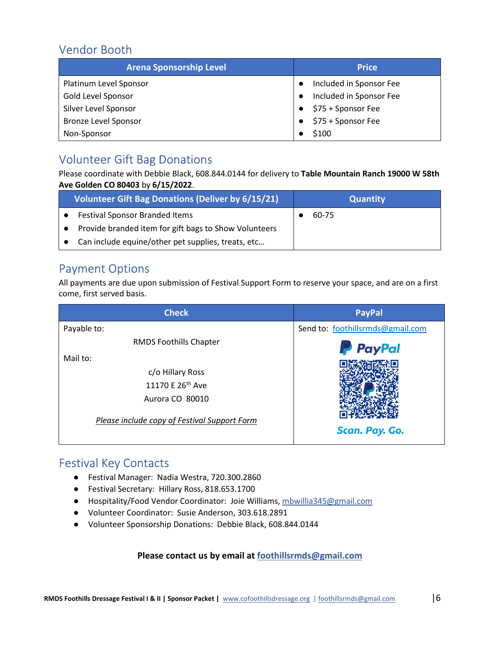## Vendor Booth

| <b>Arena Sponsorship Level</b> | <b>Price</b>            |  |
|--------------------------------|-------------------------|--|
| Platinum Level Sponsor         | Included in Sponsor Fee |  |
| Gold Level Sponsor             | Included in Sponsor Fee |  |
| Silver Level Sponsor           | \$75 + Sponsor Fee      |  |
| <b>Bronze Level Sponsor</b>    | \$75 + Sponsor Fee      |  |
| Non-Sponsor                    | \$100                   |  |

## Volunteer Gift Bag Donations

Please coordinate with Debbie Black, 608.844.0144 for delivery to **Table Mountain Ranch 19000 W 58th Ave Golden CO 80403** by **6/15/2022**.

| <b>Volunteer Gift Bag Donations (Deliver by 6/15/21)</b> | <b>Quantity</b> |
|----------------------------------------------------------|-----------------|
| <b>Festival Sponsor Branded Items</b>                    | 60-75           |
| Provide branded item for gift bags to Show Volunteers    |                 |
| Can include equine/other pet supplies, treats, etc       |                 |

## Payment Options

All payments are due upon submission of Festival Support Form to reserve your space, and are on a first come, first served basis.

| <b>Check</b>                                 | <b>PayPal</b>                    |
|----------------------------------------------|----------------------------------|
| Payable to:                                  | Send to: foothillsrmds@gmail.com |
| <b>RMDS Foothills Chapter</b>                | <b>P</b> PayPal                  |
| Mail to:                                     |                                  |
| c/o Hillary Ross                             |                                  |
| 11170 E 26th Ave                             |                                  |
| Aurora CO 80010                              |                                  |
| Please include copy of Festival Support Form | Scan. Pay. Go.                   |

## Festival Key Contacts

- Festival Manager: Nadia Westra, 720.300.2860
- Festival Secretary: Hillary Ross, 818.653.1700
- Hospitality/Food Vendor Coordinator: Joie Williams, mbwillia345@gmail.com
- Volunteer Coordinator: Susie Anderson, 303.618.2891
- Volunteer Sponsorship Donations: Debbie Black, 608.844.0144

#### **Please contact us by email at foothillsrmds@gmail.com**